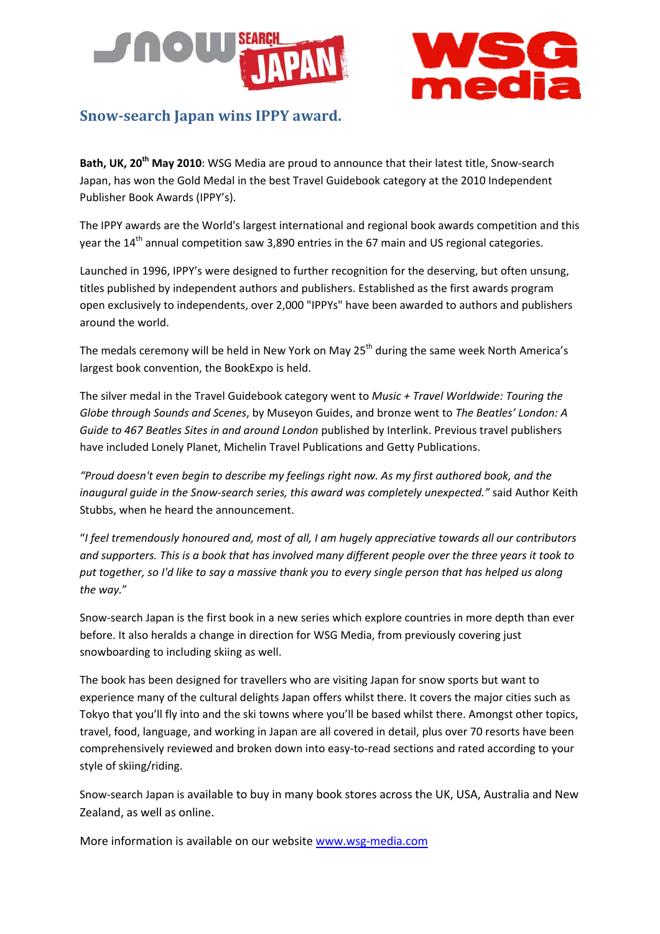



# **Snowsearch Japan wins IPPY award.**

**Bath, UK, 20th May 2010**: WSG Media are proud to announce that their latest title, Snow‐search Japan, has won the Gold Medal in the best Travel Guidebook category at the 2010 Independent Publisher Book Awards (IPPY's).

The IPPY awards are the World's largest international and regional book awards competition and this year the 14<sup>th</sup> annual competition saw 3,890 entries in the 67 main and US regional categories.

Launched in 1996, IPPY's were designed to further recognition for the deserving, but often unsung, titles published by independent authors and publishers. Established as the first awards program open exclusively to independents, over 2,000 "IPPYs" have been awarded to authors and publishers around the world.

The medals ceremony will be held in New York on May 25<sup>th</sup> during the same week North America's largest book convention, the BookExpo is held.

The silver medal in the Travel Guidebook category went to *Music + Travel Worldwide: Touring the Globe through Sounds and Scenes*, by Museyon Guides, and bronze went to *The Beatles' London: A Guide to 467 Beatles Sites in and around London* published by Interlink. Previous travel publishers have included Lonely Planet, Michelin Travel Publications and Getty Publications.

*"Proud doesn't even begin to describe my feelings right now. As my first authored book, and the inaugural guide in the Snow‐search series, this award was completely unexpected."* said Author Keith Stubbs, when he heard the announcement.

"*I feel tremendously honoured and, most of all, I am hugely appreciative towards all our contributors* and supporters. This is a book that has involved many different people over the three years it took to put together, so I'd like to say a massive thank you to every single person that has helped us along *the way.*"

Snow‐search Japan is the first book in a new series which explore countries in more depth than ever before. It also heralds a change in direction for WSG Media, from previously covering just snowboarding to including skiing as well.

The book has been designed for travellers who are visiting Japan for snow sports but want to experience many of the cultural delights Japan offers whilst there. It covers the major cities such as Tokyo that you'll fly into and the ski towns where you'll be based whilst there. Amongst other topics, travel, food, language, and working in Japan are all covered in detail, plus over 70 resorts have been comprehensively reviewed and broken down into easy‐to‐read sections and rated according to your style of skiing/riding.

Snow‐search Japan is available to buy in many book stores across the UK, USA, Australia and New Zealand, as well as online.

More information is available on our website www.wsg-media.com